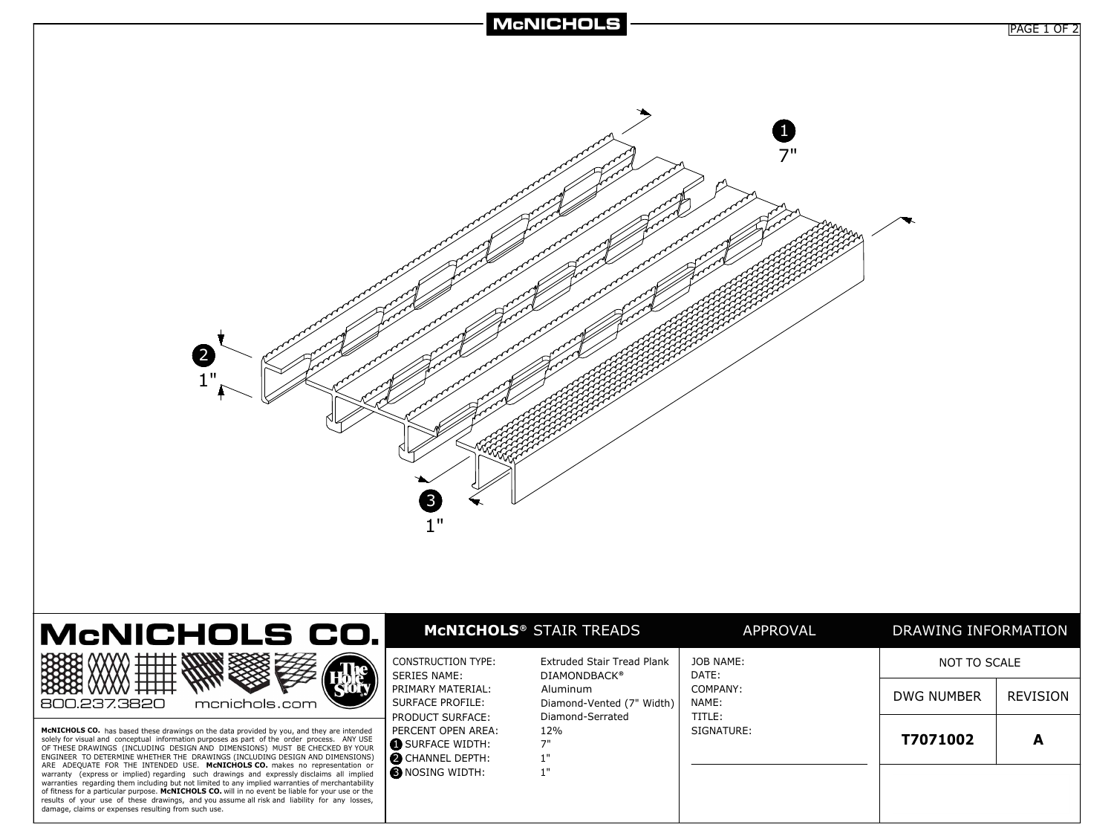

| monichols.com<br>1.237.3820 | ┶┷┷┷┵ |  | CONST<br><b>SERIE</b><br>l PRIMA<br><b>SURFA</b><br><b>PRODI</b> |
|-----------------------------|-------|--|------------------------------------------------------------------|
|-----------------------------|-------|--|------------------------------------------------------------------|

**McNICHOLS CO.** has based these drawings on the data provided by you, and they are intended solely for visual and conceptual information purposes as part of the order process. ANY USE<br>OF THESE DRAWINGS (INCLUDING DESIGN AND DIMENSIONS) MUST BE CHECKED BY YOUR<br>ENGINEER TO DETERMINE WHETHER THE DRAWINGS (INCLUDING warranty (express or implied) regarding such drawings and expressly disclaims all implied warranties regarding them including but not limited to any implied warranties of merchantability of fitness for a particular purpose. **McNICHOLS CO.** will in no event be liable for your use or the results of your use of these drawings, and you assume all risk and liability for any losses, damage, claims or expenses resulting from such use.

|                                                                                     | <b>MCNICHOLS<sup>®</sup></b> STAIR TREADS         | APPROVAL             | DRAWING INFORMATION |                 |
|-------------------------------------------------------------------------------------|---------------------------------------------------|----------------------|---------------------|-----------------|
| CONSTRUCTION TYPE:<br><b>SERIES NAME:</b>                                           | Extruded Stair Tread Plank<br><b>DIAMONDBACK®</b> | JOB NAME:<br>DATE:   | NOT TO SCALE        |                 |
| PRIMARY MATERIAL:<br>SURFACE PROFILE:                                               | Aluminum<br>Diamond-Vented (7" Width)             | COMPANY:<br>NAME:    | DWG NUMBER          | <b>REVISION</b> |
| PRODUCT SURFACE:<br>PERCENT OPEN AREA:<br>SURFACE WIDTH:<br><b>O</b> CHANNEL DEPTH: | Diamond-Serrated<br>12%<br>7"<br>1"               | TITLE:<br>SIGNATURE: | T7071002            | А               |
| <b>B</b> NOSING WIDTH:                                                              | 1"                                                |                      |                     |                 |